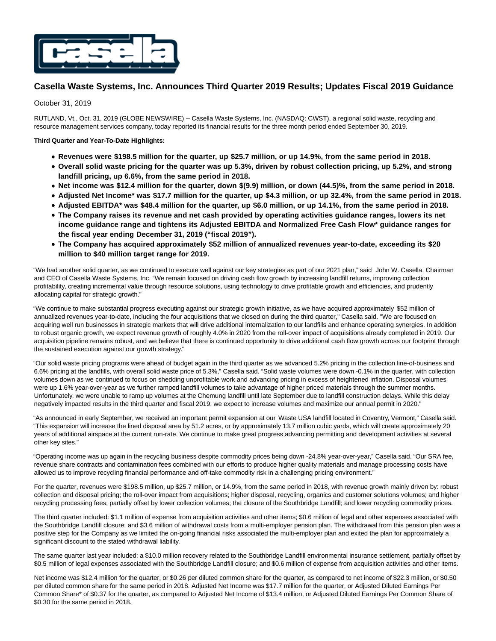

# **Casella Waste Systems, Inc. Announces Third Quarter 2019 Results; Updates Fiscal 2019 Guidance**

# October 31, 2019

RUTLAND, Vt., Oct. 31, 2019 (GLOBE NEWSWIRE) -- Casella Waste Systems, Inc. (NASDAQ: CWST), a regional solid waste, recycling and resource management services company, today reported its financial results for the three month period ended September 30, 2019.

# **Third Quarter and Year-To-Date Highlights:**

- **Revenues were \$198.5 million for the quarter, up \$25.7 million, or up 14.9%, from the same period in 2018.**
- **Overall solid waste pricing for the quarter was up 5.3%, driven by robust collection pricing, up 5.2%, and strong landfill pricing, up 6.6%, from the same period in 2018.**
- **Net income was \$12.4 million for the quarter, down \$(9.9) million, or down (44.5)%, from the same period in 2018.**
- **Adjusted Net Income\* was \$17.7 million for the quarter, up \$4.3 million, or up 32.4%, from the same period in 2018.**
- **Adjusted EBITDA\* was \$48.4 million for the quarter, up \$6.0 million, or up 14.1%, from the same period in 2018.**
- **The Company raises its revenue and net cash provided by operating activities guidance ranges, lowers its net income guidance range and tightens its Adjusted EBITDA and Normalized Free Cash Flow\* guidance ranges for the fiscal year ending December 31, 2019 ("fiscal 2019").**
- **The Company has acquired approximately \$52 million of annualized revenues year-to-date, exceeding its \$20 million to \$40 million target range for 2019.**

"We had another solid quarter, as we continued to execute well against our key strategies as part of our 2021 plan," said John W. Casella, Chairman and CEO of Casella Waste Systems, Inc. "We remain focused on driving cash flow growth by increasing landfill returns, improving collection profitability, creating incremental value through resource solutions, using technology to drive profitable growth and efficiencies, and prudently allocating capital for strategic growth."

"We continue to make substantial progress executing against our strategic growth initiative, as we have acquired approximately \$52 million of annualized revenues year-to-date, including the four acquisitions that we closed on during the third quarter," Casella said. "We are focused on acquiring well run businesses in strategic markets that will drive additional internalization to our landfills and enhance operating synergies. In addition to robust organic growth, we expect revenue growth of roughly 4.0% in 2020 from the roll-over impact of acquisitions already completed in 2019. Our acquisition pipeline remains robust, and we believe that there is continued opportunity to drive additional cash flow growth across our footprint through the sustained execution against our growth strategy."

"Our solid waste pricing programs were ahead of budget again in the third quarter as we advanced 5.2% pricing in the collection line-of-business and 6.6% pricing at the landfills, with overall solid waste price of 5.3%," Casella said. "Solid waste volumes were down -0.1% in the quarter, with collection volumes down as we continued to focus on shedding unprofitable work and advancing pricing in excess of heightened inflation. Disposal volumes were up 1.6% year-over-year as we further ramped landfill volumes to take advantage of higher priced materials through the summer months. Unfortunately, we were unable to ramp up volumes at the Chemung landfill until late September due to landfill construction delays. While this delay negatively impacted results in the third quarter and fiscal 2019, we expect to increase volumes and maximize our annual permit in 2020."

"As announced in early September, we received an important permit expansion at our Waste USA landfill located in Coventry, Vermont," Casella said. "This expansion will increase the lined disposal area by 51.2 acres, or by approximately 13.7 million cubic yards, which will create approximately 20 years of additional airspace at the current run-rate. We continue to make great progress advancing permitting and development activities at several other key sites."

"Operating income was up again in the recycling business despite commodity prices being down -24.8% year-over-year," Casella said. "Our SRA fee, revenue share contracts and contamination fees combined with our efforts to produce higher quality materials and manage processing costs have allowed us to improve recycling financial performance and off-take commodity risk in a challenging pricing environment."

For the quarter, revenues were \$198.5 million, up \$25.7 million, or 14.9%, from the same period in 2018, with revenue growth mainly driven by: robust collection and disposal pricing; the roll-over impact from acquisitions; higher disposal, recycling, organics and customer solutions volumes; and higher recycling processing fees; partially offset by lower collection volumes; the closure of the Southbridge Landfill; and lower recycling commodity prices.

The third quarter included: \$1.1 million of expense from acquisition activities and other items; \$0.6 million of legal and other expenses associated with the Southbridge Landfill closure; and \$3.6 million of withdrawal costs from a multi-employer pension plan. The withdrawal from this pension plan was a positive step for the Company as we limited the on-going financial risks associated the multi-employer plan and exited the plan for approximately a significant discount to the stated withdrawal liability.

The same quarter last year included: a \$10.0 million recovery related to the Southbridge Landfill environmental insurance settlement, partially offset by \$0.5 million of legal expenses associated with the Southbridge Landfill closure; and \$0.6 million of expense from acquisition activities and other items.

Net income was \$12.4 million for the quarter, or \$0.26 per diluted common share for the quarter, as compared to net income of \$22.3 million, or \$0.50 per diluted common share for the same period in 2018. Adjusted Net Income was \$17.7 million for the quarter, or Adjusted Diluted Earnings Per Common Share\* of \$0.37 for the quarter, as compared to Adjusted Net Income of \$13.4 million, or Adjusted Diluted Earnings Per Common Share of \$0.30 for the same period in 2018.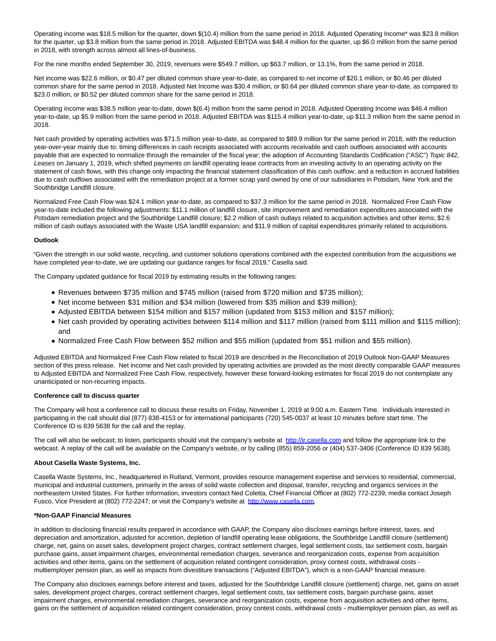Operating income was \$18.5 million for the quarter, down \$(10.4) million from the same period in 2018. Adjusted Operating Income\* was \$23.8 million for the quarter, up \$3.8 million from the same period in 2018. Adjusted EBITDA was \$48.4 million for the quarter, up \$6.0 million from the same period in 2018, with strength across almost all lines-of-business.

For the nine months ended September 30, 2019, revenues were \$549.7 million, up \$63.7 million, or 13.1%, from the same period in 2018.

Net income was \$22.6 million, or \$0.47 per diluted common share year-to-date, as compared to net income of \$20.1 million, or \$0.46 per diluted common share for the same period in 2018. Adjusted Net Income was \$30.4 million, or \$0.64 per diluted common share year-to-date, as compared to \$23.0 million, or \$0.52 per diluted common share for the same period in 2018.

Operating income was \$38.5 million year-to-date, down \$(6.4) million from the same period in 2018. Adjusted Operating Income was \$46.4 million year-to-date, up \$5.9 million from the same period in 2018. Adjusted EBITDA was \$115.4 million year-to-date, up \$11.3 million from the same period in 2018.

Net cash provided by operating activities was \$71.5 million year-to-date, as compared to \$89.9 million for the same period in 2018, with the reduction year-over-year mainly due to: timing differences in cash receipts associated with accounts receivable and cash outflows associated with accounts payable that are expected to normalize through the remainder of the fiscal year; the adoption of Accounting Standards Codification ("ASC") Topic 842, Leases on January 1, 2019, which shifted payments on landfill operating lease contracts from an investing activity to an operating activity on the statement of cash flows, with this change only impacting the financial statement classification of this cash outflow; and a reduction in accrued liabilities due to cash outflows associated with the remediation project at a former scrap yard owned by one of our subsidiaries in Potsdam, New York and the Southbridge Landfill closure.

Normalized Free Cash Flow was \$24.1 million year-to-date, as compared to \$37.3 million for the same period in 2018. Normalized Free Cash Flow year-to-date included the following adjustments: \$11.1 million of landfill closure, site improvement and remediation expenditures associated with the Potsdam remediation project and the Southbridge Landfill closure; \$2.2 million of cash outlays related to acquisition activities and other items; \$2.6 million of cash outlays associated with the Waste USA landfill expansion; and \$11.9 million of capital expenditures primarily related to acquisitions.

## **Outlook**

"Given the strength in our solid waste, recycling, and customer solutions operations combined with the expected contribution from the acquisitions we have completed year-to-date, we are updating our guidance ranges for fiscal 2019," Casella said.

The Company updated guidance for fiscal 2019 by estimating results in the following ranges:

- Revenues between \$735 million and \$745 million (raised from \$720 million and \$735 million);
- Net income between \$31 million and \$34 million (lowered from \$35 million and \$39 million);
- Adjusted EBITDA between \$154 million and \$157 million (updated from \$153 million and \$157 million);
- Net cash provided by operating activities between \$114 million and \$117 million (raised from \$111 million and \$115 million); and
- Normalized Free Cash Flow between \$52 million and \$55 million (updated from \$51 million and \$55 million).

Adjusted EBITDA and Normalized Free Cash Flow related to fiscal 2019 are described in the Reconciliation of 2019 Outlook Non-GAAP Measures section of this press release. Net income and Net cash provided by operating activities are provided as the most directly comparable GAAP measures to Adjusted EBITDA and Normalized Free Cash Flow, respectively, however these forward-looking estimates for fiscal 2019 do not contemplate any unanticipated or non-recurring impacts.

#### **Conference call to discuss quarter**

The Company will host a conference call to discuss these results on Friday, November 1, 2019 at 9:00 a.m. Eastern Time. Individuals interested in participating in the call should dial (877) 838-4153 or for international participants (720) 545-0037 at least 10 minutes before start time. The Conference ID is 839 5638 for the call and the replay.

The call will also be webcast; to listen, participants should visit the company's website at [http://ir.casella.com a](https://www.globenewswire.com/Tracker?data=jHt530M8C02wP8NhRi-eNdDyStayFOYMkZ00Gfykm_nkBWgO6UuzsU-dw_GRLeWAcBKOSQgCx2x21MqzN-2P9GZEejZ9hzXG-G2YrXw7afE=)nd follow the appropriate link to the webcast. A replay of the call will be available on the Company's website, or by calling (855) 859-2056 or (404) 537-3406 (Conference ID 839 5638).

## **About Casella Waste Systems, Inc.**

Casella Waste Systems, Inc., headquartered in Rutland, Vermont, provides resource management expertise and services to residential, commercial, municipal and industrial customers, primarily in the areas of solid waste collection and disposal, transfer, recycling and organics services in the northeastern United States. For further information, investors contact Ned Coletta, Chief Financial Officer at (802) 772-2239; media contact Joseph Fusco, Vice President at (802) 772-2247; or visit the Company's website at [http://www.casella.com.](https://www.globenewswire.com/Tracker?data=jHt530M8C02wP8NhRi-eNdabRCHwdtVVlPfFEU_nZcfoAD2UUH_9V_3x_aaJaMpltOL_Htg_1yRZ1N_pfpJvpiP7M1uLE2DHRXS4lcedTcM=)

## **\*Non-GAAP Financial Measures**

In addition to disclosing financial results prepared in accordance with GAAP, the Company also discloses earnings before interest, taxes, and depreciation and amortization, adjusted for accretion, depletion of landfill operating lease obligations, the Southbridge Landfill closure (settlement) charge, net, gains on asset sales, development project charges, contract settlement charges, legal settlement costs, tax settlement costs, bargain purchase gains, asset impairment charges, environmental remediation charges, severance and reorganization costs, expense from acquisition activities and other items, gains on the settlement of acquisition related contingent consideration, proxy contest costs, withdrawal costs multiemployer pension plan, as well as impacts from divestiture transactions ("Adjusted EBITDA"), which is a non-GAAP financial measure.

The Company also discloses earnings before interest and taxes, adjusted for the Southbridge Landfill closure (settlement) charge, net, gains on asset sales, development project charges, contract settlement charges, legal settlement costs, tax settlement costs, bargain purchase gains, asset impairment charges, environmental remediation charges, severance and reorganization costs, expense from acquisition activities and other items, gains on the settlement of acquisition related contingent consideration, proxy contest costs, withdrawal costs - multiemployer pension plan, as well as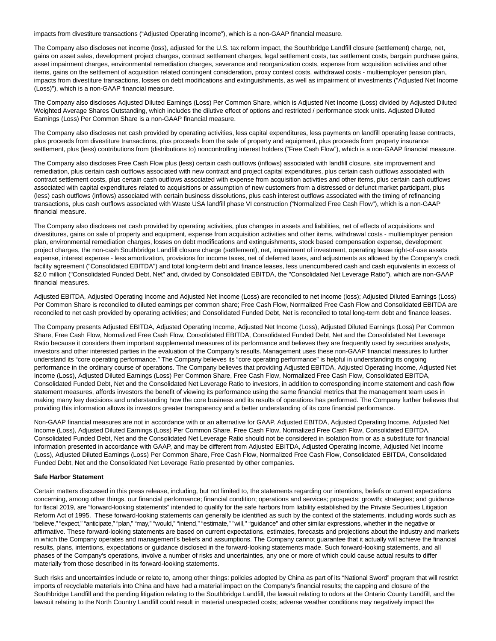impacts from divestiture transactions ("Adjusted Operating Income"), which is a non-GAAP financial measure.

The Company also discloses net income (loss), adjusted for the U.S. tax reform impact, the Southbridge Landfill closure (settlement) charge, net, gains on asset sales, development project charges, contract settlement charges, legal settlement costs, tax settlement costs, bargain purchase gains, asset impairment charges, environmental remediation charges, severance and reorganization costs, expense from acquisition activities and other items, gains on the settlement of acquisition related contingent consideration, proxy contest costs, withdrawal costs - multiemployer pension plan, impacts from divestiture transactions, losses on debt modifications and extinguishments, as well as impairment of investments ("Adjusted Net Income (Loss)"), which is a non-GAAP financial measure.

The Company also discloses Adjusted Diluted Earnings (Loss) Per Common Share, which is Adjusted Net Income (Loss) divided by Adjusted Diluted Weighted Average Shares Outstanding, which includes the dilutive effect of options and restricted / performance stock units. Adjusted Diluted Earnings (Loss) Per Common Share is a non-GAAP financial measure.

The Company also discloses net cash provided by operating activities, less capital expenditures, less payments on landfill operating lease contracts, plus proceeds from divestiture transactions, plus proceeds from the sale of property and equipment, plus proceeds from property insurance settlement, plus (less) contributions from (distributions to) noncontrolling interest holders ("Free Cash Flow"), which is a non-GAAP financial measure.

The Company also discloses Free Cash Flow plus (less) certain cash outflows (inflows) associated with landfill closure, site improvement and remediation, plus certain cash outflows associated with new contract and project capital expenditures, plus certain cash outflows associated with contract settlement costs, plus certain cash outflows associated with expense from acquisition activities and other items, plus certain cash outflows associated with capital expenditures related to acquisitions or assumption of new customers from a distressed or defunct market participant, plus (less) cash outflows (inflows) associated with certain business dissolutions, plus cash interest outflows associated with the timing of refinancing transactions, plus cash outflows associated with Waste USA landfill phase VI construction ("Normalized Free Cash Flow"), which is a non-GAAP financial measure.

The Company also discloses net cash provided by operating activities, plus changes in assets and liabilities, net of effects of acquisitions and divestitures, gains on sale of property and equipment, expense from acquisition activities and other items, withdrawal costs - multiemployer pension plan, environmental remediation charges, losses on debt modifications and extinguishments, stock based compensation expense, development project charges, the non-cash Southbridge Landfill closure charge (settlement), net, impairment of investment, operating lease right-of-use assets expense, interest expense - less amortization, provisions for income taxes, net of deferred taxes, and adjustments as allowed by the Company's credit facility agreement ("Consolidated EBITDA") and total long-term debt and finance leases, less unencumbered cash and cash equivalents in excess of \$2.0 million ("Consolidated Funded Debt, Net" and, divided by Consolidated EBITDA, the "Consolidated Net Leverage Ratio"), which are non-GAAP financial measures.

Adjusted EBITDA, Adjusted Operating Income and Adjusted Net Income (Loss) are reconciled to net income (loss); Adjusted Diluted Earnings (Loss) Per Common Share is reconciled to diluted earnings per common share; Free Cash Flow, Normalized Free Cash Flow and Consolidated EBITDA are reconciled to net cash provided by operating activities; and Consolidated Funded Debt, Net is reconciled to total long-term debt and finance leases.

The Company presents Adjusted EBITDA, Adjusted Operating Income, Adjusted Net Income (Loss), Adjusted Diluted Earnings (Loss) Per Common Share, Free Cash Flow, Normalized Free Cash Flow, Consolidated EBITDA, Consolidated Funded Debt, Net and the Consolidated Net Leverage Ratio because it considers them important supplemental measures of its performance and believes they are frequently used by securities analysts, investors and other interested parties in the evaluation of the Company's results. Management uses these non-GAAP financial measures to further understand its "core operating performance." The Company believes its "core operating performance" is helpful in understanding its ongoing performance in the ordinary course of operations. The Company believes that providing Adjusted EBITDA, Adjusted Operating Income, Adjusted Net Income (Loss), Adjusted Diluted Earnings (Loss) Per Common Share, Free Cash Flow, Normalized Free Cash Flow, Consolidated EBITDA, Consolidated Funded Debt, Net and the Consolidated Net Leverage Ratio to investors, in addition to corresponding income statement and cash flow statement measures, affords investors the benefit of viewing its performance using the same financial metrics that the management team uses in making many key decisions and understanding how the core business and its results of operations has performed. The Company further believes that providing this information allows its investors greater transparency and a better understanding of its core financial performance.

Non-GAAP financial measures are not in accordance with or an alternative for GAAP. Adjusted EBITDA, Adjusted Operating Income, Adjusted Net Income (Loss), Adjusted Diluted Earnings (Loss) Per Common Share, Free Cash Flow, Normalized Free Cash Flow, Consolidated EBITDA, Consolidated Funded Debt, Net and the Consolidated Net Leverage Ratio should not be considered in isolation from or as a substitute for financial information presented in accordance with GAAP, and may be different from Adjusted EBITDA, Adjusted Operating Income, Adjusted Net Income (Loss), Adjusted Diluted Earnings (Loss) Per Common Share, Free Cash Flow, Normalized Free Cash Flow, Consolidated EBITDA, Consolidated Funded Debt, Net and the Consolidated Net Leverage Ratio presented by other companies.

## **Safe Harbor Statement**

Certain matters discussed in this press release, including, but not limited to, the statements regarding our intentions, beliefs or current expectations concerning, among other things, our financial performance; financial condition; operations and services; prospects; growth; strategies; and guidance for fiscal 2019, are "forward-looking statements" intended to qualify for the safe harbors from liability established by the Private Securities Litigation Reform Act of 1995. These forward-looking statements can generally be identified as such by the context of the statements, including words such as "believe," "expect," "anticipate," "plan," "may," "would," "intend," "estimate," "will," "guidance" and other similar expressions, whether in the negative or affirmative. These forward-looking statements are based on current expectations, estimates, forecasts and projections about the industry and markets in which the Company operates and management's beliefs and assumptions. The Company cannot guarantee that it actually will achieve the financial results, plans, intentions, expectations or guidance disclosed in the forward-looking statements made. Such forward-looking statements, and all phases of the Company's operations, involve a number of risks and uncertainties, any one or more of which could cause actual results to differ materially from those described in its forward-looking statements.

Such risks and uncertainties include or relate to, among other things: policies adopted by China as part of its "National Sword" program that will restrict imports of recyclable materials into China and have had a material impact on the Company's financial results; the capping and closure of the Southbridge Landfill and the pending litigation relating to the Southbridge Landfill, the lawsuit relating to odors at the Ontario County Landfill, and the lawsuit relating to the North Country Landfill could result in material unexpected costs; adverse weather conditions may negatively impact the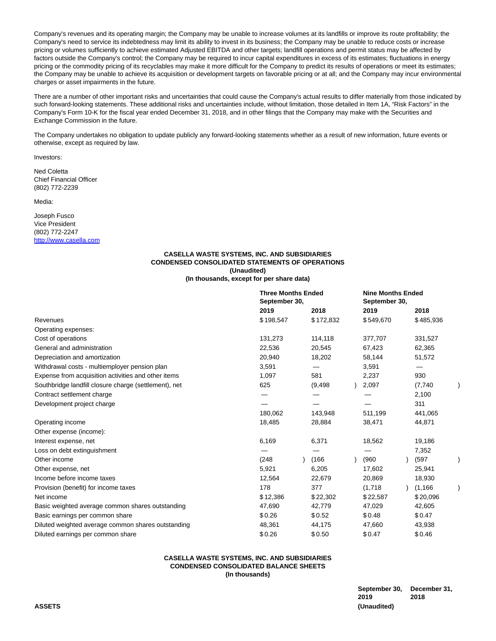Company's revenues and its operating margin; the Company may be unable to increase volumes at its landfills or improve its route profitability; the Company's need to service its indebtedness may limit its ability to invest in its business; the Company may be unable to reduce costs or increase pricing or volumes sufficiently to achieve estimated Adjusted EBITDA and other targets; landfill operations and permit status may be affected by factors outside the Company's control; the Company may be required to incur capital expenditures in excess of its estimates; fluctuations in energy pricing or the commodity pricing of its recyclables may make it more difficult for the Company to predict its results of operations or meet its estimates; the Company may be unable to achieve its acquisition or development targets on favorable pricing or at all; and the Company may incur environmental charges or asset impairments in the future.

There are a number of other important risks and uncertainties that could cause the Company's actual results to differ materially from those indicated by such forward-looking statements. These additional risks and uncertainties include, without limitation, those detailed in Item 1A, "Risk Factors" in the Company's Form 10-K for the fiscal year ended December 31, 2018, and in other filings that the Company may make with the Securities and Exchange Commission in the future.

The Company undertakes no obligation to update publicly any forward-looking statements whether as a result of new information, future events or otherwise, except as required by law.

Investors:

Ned Coletta Chief Financial Officer (802) 772-2239

Media:

Joseph Fusco Vice President (802) 772-2247 [http://www.casella.com](https://www.globenewswire.com/Tracker?data=jHt530M8C02wP8NhRi-eNdabRCHwdtVVlPfFEU_nZcefpq-f09rA5LS29ycH0eb7OLs_hAEi1dnHSPUH3VqCUqHBPACb9Vcrm1oJX7ZV4Kc=)

# **CASELLA WASTE SYSTEMS, INC. AND SUBSIDIARIES CONDENSED CONSOLIDATED STATEMENTS OF OPERATIONS (Unaudited)**

**(In thousands, except for per share data)**

|                                                       |           | <b>Three Months Ended</b><br>September 30, |           | <b>Nine Months Ended</b><br>September 30, |           |  |
|-------------------------------------------------------|-----------|--------------------------------------------|-----------|-------------------------------------------|-----------|--|
|                                                       | 2019      |                                            | 2018      | 2019                                      | 2018      |  |
| Revenues                                              | \$198,547 |                                            | \$172,832 | \$549,670                                 | \$485,936 |  |
| Operating expenses:                                   |           |                                            |           |                                           |           |  |
| Cost of operations                                    | 131,273   |                                            | 114,118   | 377,707                                   | 331,527   |  |
| General and administration                            | 22,536    |                                            | 20,545    | 67,423                                    | 62,365    |  |
| Depreciation and amortization                         | 20,940    |                                            | 18,202    | 58,144                                    | 51,572    |  |
| Withdrawal costs - multiemployer pension plan         | 3,591     |                                            |           | 3,591                                     |           |  |
| Expense from acquisition activities and other items   | 1,097     |                                            | 581       | 2,237                                     | 930       |  |
| Southbridge landfill closure charge (settlement), net | 625       |                                            | (9, 498)  | 2,097                                     | (7,740)   |  |
| Contract settlement charge                            |           |                                            |           |                                           | 2,100     |  |
| Development project charge                            |           |                                            |           |                                           | 311       |  |
|                                                       | 180,062   |                                            | 143,948   | 511,199                                   | 441,065   |  |
| Operating income                                      | 18,485    |                                            | 28,884    | 38,471                                    | 44,871    |  |
| Other expense (income):                               |           |                                            |           |                                           |           |  |
| Interest expense, net                                 | 6,169     |                                            | 6,371     | 18,562                                    | 19,186    |  |
| Loss on debt extinguishment                           |           |                                            |           |                                           | 7,352     |  |
| Other income                                          | (248)     |                                            | (166)     | (960)                                     | (597)     |  |
| Other expense, net                                    | 5,921     |                                            | 6,205     | 17,602                                    | 25,941    |  |
| Income before income taxes                            | 12,564    |                                            | 22,679    | 20,869                                    | 18,930    |  |
| Provision (benefit) for income taxes                  | 178       |                                            | 377       | (1,718)                                   | (1, 166)  |  |
| Net income                                            | \$12,386  |                                            | \$22,302  | \$22,587                                  | \$20,096  |  |
| Basic weighted average common shares outstanding      | 47,690    |                                            | 42,779    | 47,029                                    | 42,605    |  |
| Basic earnings per common share                       | \$0.26    |                                            | \$0.52    | \$0.48                                    | \$0.47    |  |
| Diluted weighted average common shares outstanding    | 48,361    |                                            | 44,175    | 47,660                                    | 43,938    |  |
| Diluted earnings per common share                     | \$0.26    |                                            | \$0.50    | \$0.47                                    | \$0.46    |  |

## **CASELLA WASTE SYSTEMS, INC. AND SUBSIDIARIES CONDENSED CONSOLIDATED BALANCE SHEETS (In thousands)**

**September 30, 2019 December 31, 2018 ASSETS (Unaudited)**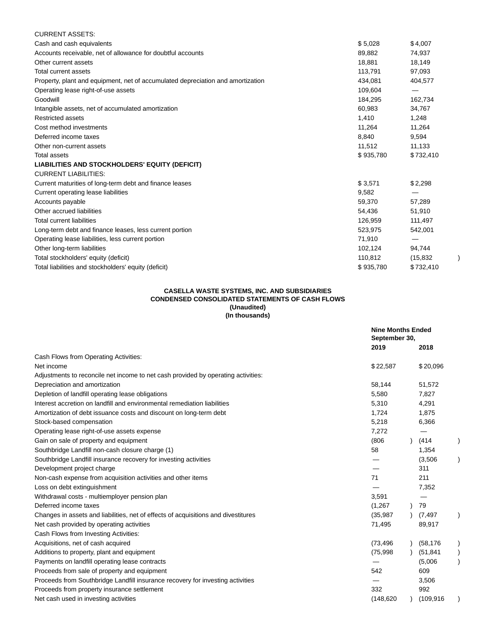| <b>CURRENT ASSETS:</b>                                                          |           |           |  |
|---------------------------------------------------------------------------------|-----------|-----------|--|
| Cash and cash equivalents                                                       | \$5,028   | \$4,007   |  |
| Accounts receivable, net of allowance for doubtful accounts                     | 89,882    | 74,937    |  |
| Other current assets                                                            | 18,881    | 18,149    |  |
| Total current assets                                                            | 113,791   | 97,093    |  |
| Property, plant and equipment, net of accumulated depreciation and amortization | 434,081   | 404,577   |  |
| Operating lease right-of-use assets                                             | 109,604   |           |  |
| Goodwill                                                                        | 184,295   | 162,734   |  |
| Intangible assets, net of accumulated amortization                              | 60,983    | 34,767    |  |
| <b>Restricted assets</b>                                                        | 1,410     | 1,248     |  |
| Cost method investments                                                         | 11,264    | 11,264    |  |
| Deferred income taxes                                                           | 8,840     | 9,594     |  |
| Other non-current assets                                                        | 11,512    | 11,133    |  |
| <b>Total assets</b>                                                             | \$935,780 | \$732,410 |  |
| LIABILITIES AND STOCKHOLDERS' EQUITY (DEFICIT)                                  |           |           |  |
| <b>CURRENT LIABILITIES:</b>                                                     |           |           |  |
| Current maturities of long-term debt and finance leases                         | \$3,571   | \$2,298   |  |
| Current operating lease liabilities                                             | 9,582     |           |  |
| Accounts payable                                                                | 59,370    | 57,289    |  |
| Other accrued liabilities                                                       | 54,436    | 51,910    |  |
| <b>Total current liabilities</b>                                                | 126,959   | 111,497   |  |
| Long-term debt and finance leases, less current portion                         | 523,975   | 542,001   |  |
| Operating lease liabilities, less current portion                               | 71,910    |           |  |
| Other long-term liabilities                                                     | 102,124   | 94,744    |  |
| Total stockholders' equity (deficit)                                            | 110.812   | (15, 832) |  |
| Total liabilities and stockholders' equity (deficit)                            | \$935,780 | \$732,410 |  |
|                                                                                 |           |           |  |

#### **CASELLA WASTE SYSTEMS, INC. AND SUBSIDIARIES CONDENSED CONSOLIDATED STATEMENTS OF CASH FLOWS (Unaudited) (In thousands)**

|                                                                                    |            | <b>Nine Months Ended</b><br>September 30, |  |
|------------------------------------------------------------------------------------|------------|-------------------------------------------|--|
|                                                                                    | 2019       | 2018                                      |  |
| Cash Flows from Operating Activities:                                              |            |                                           |  |
| Net income                                                                         | \$22,587   | \$20,096                                  |  |
| Adjustments to reconcile net income to net cash provided by operating activities:  |            |                                           |  |
| Depreciation and amortization                                                      | 58,144     | 51,572                                    |  |
| Depletion of landfill operating lease obligations                                  | 5,580      | 7,827                                     |  |
| Interest accretion on landfill and environmental remediation liabilities           | 5,310      | 4,291                                     |  |
| Amortization of debt issuance costs and discount on long-term debt                 | 1,724      | 1,875                                     |  |
| Stock-based compensation                                                           | 5,218      | 6,366                                     |  |
| Operating lease right-of-use assets expense                                        | 7,272      |                                           |  |
| Gain on sale of property and equipment                                             | (806)      | (414)                                     |  |
| Southbridge Landfill non-cash closure charge (1)                                   | 58         | 1,354                                     |  |
| Southbridge Landfill insurance recovery for investing activities                   |            | (3,506)                                   |  |
| Development project charge                                                         |            | 311                                       |  |
| Non-cash expense from acquisition activities and other items                       | 71         | 211                                       |  |
| Loss on debt extinguishment                                                        |            | 7,352                                     |  |
| Withdrawal costs - multiemployer pension plan                                      | 3,591      |                                           |  |
| Deferred income taxes                                                              | (1,267)    | 79                                        |  |
| Changes in assets and liabilities, net of effects of acquisitions and divestitures | (35, 987)  | (7,497                                    |  |
| Net cash provided by operating activities                                          | 71,495     | 89,917                                    |  |
| Cash Flows from Investing Activities:                                              |            |                                           |  |
| Acquisitions, net of cash acquired                                                 | (73, 496)  | (58, 176)                                 |  |
| Additions to property, plant and equipment                                         | (75,998)   | (51, 841)                                 |  |
| Payments on landfill operating lease contracts                                     |            | (5,006)                                   |  |
| Proceeds from sale of property and equipment                                       | 542        | 609                                       |  |
| Proceeds from Southbridge Landfill insurance recovery for investing activities     |            | 3,506                                     |  |
| Proceeds from property insurance settlement                                        | 332        | 992                                       |  |
| Net cash used in investing activities                                              | (148, 620) | (109, 916)                                |  |
|                                                                                    |            |                                           |  |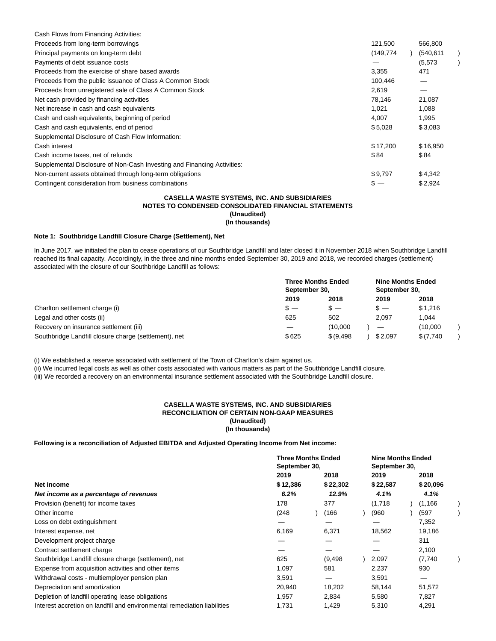| Cash Flows from Financing Activities:                                   |          |           |
|-------------------------------------------------------------------------|----------|-----------|
| Proceeds from long-term borrowings                                      | 121,500  | 566,800   |
| Principal payments on long-term debt                                    | (149,774 | (540.611) |
| Payments of debt issuance costs                                         |          | (5, 573)  |
| Proceeds from the exercise of share based awards                        | 3,355    | 471       |
| Proceeds from the public issuance of Class A Common Stock               | 100,446  |           |
| Proceeds from unregistered sale of Class A Common Stock                 | 2,619    |           |
| Net cash provided by financing activities                               | 78,146   | 21,087    |
| Net increase in cash and cash equivalents                               | 1,021    | 1,088     |
| Cash and cash equivalents, beginning of period                          | 4,007    | 1,995     |
| Cash and cash equivalents, end of period                                | \$5,028  | \$3,083   |
| Supplemental Disclosure of Cash Flow Information:                       |          |           |
| Cash interest                                                           | \$17,200 | \$16,950  |
| Cash income taxes, net of refunds                                       | \$84     | \$84      |
| Supplemental Disclosure of Non-Cash Investing and Financing Activities: |          |           |
| Non-current assets obtained through long-term obligations               | \$9,797  | \$4,342   |
| Contingent consideration from business combinations                     | $s -$    | \$2,924   |

#### **CASELLA WASTE SYSTEMS, INC. AND SUBSIDIARIES NOTES TO CONDENSED CONSOLIDATED FINANCIAL STATEMENTS (Unaudited) (In thousands)**

# **Note 1: Southbridge Landfill Closure Charge (Settlement), Net**

In June 2017, we initiated the plan to cease operations of our Southbridge Landfill and later closed it in November 2018 when Southbridge Landfill reached its final capacity. Accordingly, in the three and nine months ended September 30, 2019 and 2018, we recorded charges (settlement) associated with the closure of our Southbridge Landfill as follows:

|                                                       | <b>Three Months Ended</b><br>September 30, |            | <b>Nine Months Ended</b><br>September 30, |         |           |  |
|-------------------------------------------------------|--------------------------------------------|------------|-------------------------------------------|---------|-----------|--|
|                                                       | 2019                                       | 2018       |                                           | 2019    | 2018      |  |
| Charlton settlement charge (i)                        | $s -$                                      | $s -$      |                                           | $s -$   | \$1.216   |  |
| Legal and other costs (ii)                            | 625                                        | 502        |                                           | 2.097   | 1.044     |  |
| Recovery on insurance settlement (iii)                |                                            | (10.000)   |                                           |         | (10.000)  |  |
| Southbridge Landfill closure charge (settlement), net | \$625                                      | \$ (9.498) |                                           | \$2.097 | \$(7,740) |  |

(i) We established a reserve associated with settlement of the Town of Charlton's claim against us.

(ii) We incurred legal costs as well as other costs associated with various matters as part of the Southbridge Landfill closure.

(iii) We recorded a recovery on an environmental insurance settlement associated with the Southbridge Landfill closure.

### **CASELLA WASTE SYSTEMS, INC. AND SUBSIDIARIES RECONCILIATION OF CERTAIN NON-GAAP MEASURES (Unaudited) (In thousands)**

**Following is a reconciliation of Adjusted EBITDA and Adjusted Operating Income from Net income:**

|                                                                          | <b>Three Months Ended</b><br>September 30, |  | <b>Nine Months Ended</b><br>September 30, |  |          |  |          |  |
|--------------------------------------------------------------------------|--------------------------------------------|--|-------------------------------------------|--|----------|--|----------|--|
|                                                                          | 2019                                       |  | 2018                                      |  | 2019     |  | 2018     |  |
| Net income                                                               | \$12,386                                   |  | \$22,302                                  |  | \$22,587 |  | \$20,096 |  |
| Net income as a percentage of revenues                                   | 6.2%                                       |  | 12.9%                                     |  | 4.1%     |  | 4.1%     |  |
| Provision (benefit) for income taxes                                     | 178                                        |  | 377                                       |  | (1,718)  |  | (1, 166) |  |
| Other income                                                             | (248)                                      |  | (166)                                     |  | (960     |  | (597     |  |
| Loss on debt extinguishment                                              |                                            |  |                                           |  |          |  | 7,352    |  |
| Interest expense, net                                                    | 6,169                                      |  | 6,371                                     |  | 18,562   |  | 19,186   |  |
| Development project charge                                               |                                            |  |                                           |  |          |  | 311      |  |
| Contract settlement charge                                               |                                            |  |                                           |  |          |  | 2,100    |  |
| Southbridge Landfill closure charge (settlement), net                    | 625                                        |  | (9, 498)                                  |  | 2,097    |  | (7,740)  |  |
| Expense from acquisition activities and other items                      | 1,097                                      |  | 581                                       |  | 2,237    |  | 930      |  |
| Withdrawal costs - multiemployer pension plan                            | 3,591                                      |  |                                           |  | 3,591    |  | –        |  |
| Depreciation and amortization                                            | 20,940                                     |  | 18,202                                    |  | 58,144   |  | 51,572   |  |
| Depletion of landfill operating lease obligations                        | 1,957                                      |  | 2,834                                     |  | 5,580    |  | 7,827    |  |
| Interest accretion on landfill and environmental remediation liabilities | 1,731                                      |  | 1,429                                     |  | 5,310    |  | 4,291    |  |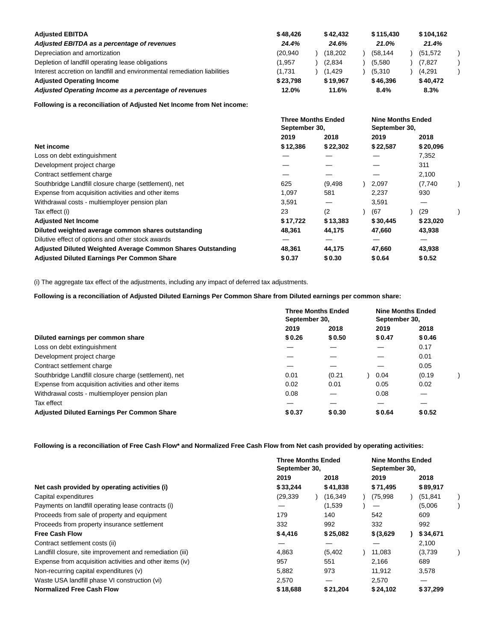| <b>Adiusted EBITDA</b>                                                   | \$48,426 | \$42,432 | \$115.430 | \$104.162 |  |
|--------------------------------------------------------------------------|----------|----------|-----------|-----------|--|
| Adjusted EBITDA as a percentage of revenues                              | 24.4%    | 24.6%    | 21.0%     | 21.4%     |  |
| Depreciation and amortization                                            | (20.940) | (18.202) | (58, 144) | (51, 572) |  |
| Depletion of landfill operating lease obligations                        | (1.957   | (2.834)  | (5,580    | (7.827    |  |
| Interest accretion on landfill and environmental remediation liabilities | (1.731   | (1.429)  | (5.310)   | (4,291)   |  |
| <b>Adjusted Operating Income</b>                                         | \$23.798 | \$19.967 | \$46,396  | \$40,472  |  |
| Adjusted Operating Income as a percentage of revenues                    | 12.0%    | 11.6%    | 8.4%      | 8.3%      |  |

**Following is a reconciliation of Adjusted Net Income from Net income:**

|                                                             | <b>Three Months Ended</b><br>September 30, |          | <b>Nine Months Ended</b><br>September 30, |          |  |
|-------------------------------------------------------------|--------------------------------------------|----------|-------------------------------------------|----------|--|
|                                                             | 2019                                       | 2018     | 2019                                      | 2018     |  |
| Net income                                                  | \$12,386                                   | \$22,302 | \$22,587                                  | \$20,096 |  |
| Loss on debt extinguishment                                 |                                            |          |                                           | 7,352    |  |
| Development project charge                                  |                                            |          |                                           | 311      |  |
| Contract settlement charge                                  |                                            |          |                                           | 2,100    |  |
| Southbridge Landfill closure charge (settlement), net       | 625                                        | (9, 498) | 2,097                                     | (7,740)  |  |
| Expense from acquisition activities and other items         | 1,097                                      | 581      | 2,237                                     | 930      |  |
| Withdrawal costs - multiemployer pension plan               | 3,591                                      |          | 3,591                                     |          |  |
| Tax effect (i)                                              | 23                                         | (2)      | (67)                                      | (29      |  |
| <b>Adjusted Net Income</b>                                  | \$17,722                                   | \$13,383 | \$30,445                                  | \$23,020 |  |
| Diluted weighted average common shares outstanding          | 48,361                                     | 44,175   | 47,660                                    | 43,938   |  |
| Dilutive effect of options and other stock awards           |                                            |          |                                           |          |  |
| Adjusted Diluted Weighted Average Common Shares Outstanding | 48,361                                     | 44,175   | 47,660                                    | 43,938   |  |
| <b>Adjusted Diluted Earnings Per Common Share</b>           | \$0.37                                     | \$0.30   | \$0.64                                    | \$0.52   |  |

(i) The aggregate tax effect of the adjustments, including any impact of deferred tax adjustments.

# **Following is a reconciliation of Adjusted Diluted Earnings Per Common Share from Diluted earnings per common share:**

|                                                       | <b>Three Months Ended</b><br>September 30, |        | <b>Nine Months Ended</b><br>September 30, |        |  |
|-------------------------------------------------------|--------------------------------------------|--------|-------------------------------------------|--------|--|
|                                                       | 2019                                       | 2018   | 2019                                      | 2018   |  |
| Diluted earnings per common share                     | \$0.26                                     | \$0.50 | \$0.47                                    | \$0.46 |  |
| Loss on debt extinguishment                           |                                            |        |                                           | 0.17   |  |
| Development project charge                            |                                            |        |                                           | 0.01   |  |
| Contract settlement charge                            |                                            |        |                                           | 0.05   |  |
| Southbridge Landfill closure charge (settlement), net | 0.01                                       | (0.21) | 0.04                                      | (0.19) |  |
| Expense from acquisition activities and other items   | 0.02                                       | 0.01   | 0.05                                      | 0.02   |  |
| Withdrawal costs - multiemployer pension plan         | 0.08                                       |        | 0.08                                      |        |  |
| Tax effect                                            |                                            |        |                                           |        |  |
| <b>Adjusted Diluted Earnings Per Common Share</b>     | \$0.37                                     | \$0.30 | \$0.64                                    | \$0.52 |  |

**Following is a reconciliation of Free Cash Flow\* and Normalized Free Cash Flow from Net cash provided by operating activities:**

|                                                          | <b>Three Months Ended</b><br>September 30, |           | <b>Nine Months Ended</b><br>September 30, |           |  |
|----------------------------------------------------------|--------------------------------------------|-----------|-------------------------------------------|-----------|--|
|                                                          | 2019                                       | 2018      | 2019                                      | 2018      |  |
| Net cash provided by operating activities (i)            | \$33,244                                   | \$41,838  | \$71.495                                  | \$89,917  |  |
| Capital expenditures                                     | (29, 339)                                  | (16, 349) | (75,998)                                  | (51, 841) |  |
| Payments on landfill operating lease contracts (i)       |                                            | (1.539)   |                                           | (5,006)   |  |
| Proceeds from sale of property and equipment             | 179                                        | 140       | 542                                       | 609       |  |
| Proceeds from property insurance settlement              | 332                                        | 992       | 332                                       | 992       |  |
| <b>Free Cash Flow</b>                                    | \$4,416                                    | \$25,082  | \$ (3,629)                                | \$34,671  |  |
| Contract settlement costs (ii)                           |                                            |           |                                           | 2,100     |  |
| Landfill closure, site improvement and remediation (iii) | 4,863                                      | (5, 402)  | 11.083                                    | (3,739)   |  |
| Expense from acquisition activities and other items (iv) | 957                                        | 551       | 2,166                                     | 689       |  |
| Non-recurring capital expenditures (v)                   | 5,882                                      | 973       | 11.912                                    | 3,578     |  |
| Waste USA landfill phase VI construction (vi)            | 2,570                                      |           | 2,570                                     |           |  |
| <b>Normalized Free Cash Flow</b>                         | \$18,688                                   | \$21,204  | \$24,102                                  | \$37,299  |  |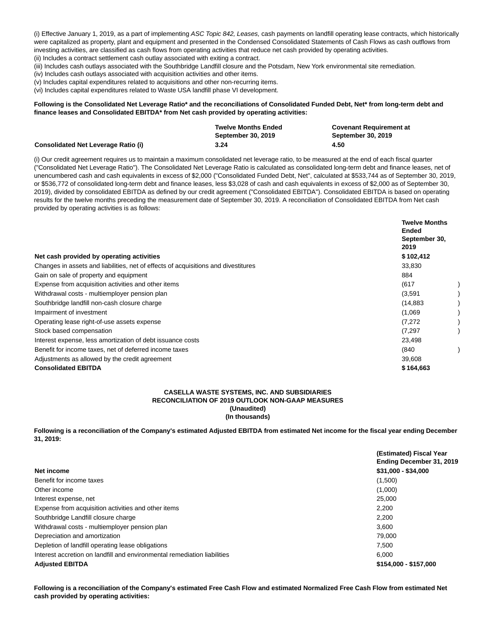(i) Effective January 1, 2019, as a part of implementing ASC Topic 842, Leases, cash payments on landfill operating lease contracts, which historically were capitalized as property, plant and equipment and presented in the Condensed Consolidated Statements of Cash Flows as cash outflows from investing activities, are classified as cash flows from operating activities that reduce net cash provided by operating activities. (ii) Includes a contract settlement cash outlay associated with exiting a contract.

(iii) Includes cash outlays associated with the Southbridge Landfill closure and the Potsdam, New York environmental site remediation.

(iv) Includes cash outlays associated with acquisition activities and other items.

(v) Includes capital expenditures related to acquisitions and other non-recurring items.

(vi) Includes capital expenditures related to Waste USA landfill phase VI development.

#### **Following is the Consolidated Net Leverage Ratio\* and the reconciliations of Consolidated Funded Debt, Net\* from long-term debt and finance leases and Consolidated EBITDA\* from Net cash provided by operating activities:**

|                                     | <b>Twelve Months Ended</b> | <b>Covenant Requirement at</b> |
|-------------------------------------|----------------------------|--------------------------------|
|                                     | <b>September 30, 2019</b>  | <b>September 30, 2019</b>      |
| Consolidated Net Leverage Ratio (i) | 3.24                       | 4.50                           |

(i) Our credit agreement requires us to maintain a maximum consolidated net leverage ratio, to be measured at the end of each fiscal quarter ("Consolidated Net Leverage Ratio"). The Consolidated Net Leverage Ratio is calculated as consolidated long-term debt and finance leases, net of unencumbered cash and cash equivalents in excess of \$2,000 ("Consolidated Funded Debt, Net", calculated at \$533,744 as of September 30, 2019, or \$536,772 of consolidated long-term debt and finance leases, less \$3,028 of cash and cash equivalents in excess of \$2,000 as of September 30, 2019), divided by consolidated EBITDA as defined by our credit agreement ("Consolidated EBITDA"). Consolidated EBITDA is based on operating results for the twelve months preceding the measurement date of September 30, 2019. A reconciliation of Consolidated EBITDA from Net cash provided by operating activities is as follows:

|                                                                                    | <b>Twelve Months</b><br><b>Ended</b><br>September 30,<br>2019 |
|------------------------------------------------------------------------------------|---------------------------------------------------------------|
| Net cash provided by operating activities                                          | \$102,412                                                     |
| Changes in assets and liabilities, net of effects of acquisitions and divestitures | 33,830                                                        |
| Gain on sale of property and equipment                                             | 884                                                           |
| Expense from acquisition activities and other items                                | (617)                                                         |
| Withdrawal costs - multiemployer pension plan                                      | (3,591)                                                       |
| Southbridge landfill non-cash closure charge                                       | (14, 883)                                                     |
| Impairment of investment                                                           | (1,069)                                                       |
| Operating lease right-of-use assets expense                                        | (7, 272)                                                      |
| Stock based compensation                                                           | (7, 297)                                                      |
| Interest expense, less amortization of debt issuance costs                         | 23,498                                                        |
| Benefit for income taxes, net of deferred income taxes                             | (840)                                                         |
| Adjustments as allowed by the credit agreement                                     | 39,608                                                        |
| <b>Consolidated EBITDA</b>                                                         | \$164,663                                                     |

### **CASELLA WASTE SYSTEMS, INC. AND SUBSIDIARIES RECONCILIATION OF 2019 OUTLOOK NON-GAAP MEASURES (Unaudited) (In thousands)**

**Following is a reconciliation of the Company's estimated Adjusted EBITDA from estimated Net income for the fiscal year ending December 31, 2019:**

|                                                                          | (Estimated) Fiscal Year  |
|--------------------------------------------------------------------------|--------------------------|
|                                                                          | Ending December 31, 2019 |
| Net income                                                               | $$31,000 - $34,000$      |
| Benefit for income taxes                                                 | (1,500)                  |
| Other income                                                             | (1,000)                  |
| Interest expense, net                                                    | 25,000                   |
| Expense from acquisition activities and other items                      | 2.200                    |
| Southbridge Landfill closure charge                                      | 2.200                    |
| Withdrawal costs - multiemployer pension plan                            | 3.600                    |
| Depreciation and amortization                                            | 79.000                   |
| Depletion of landfill operating lease obligations                        | 7.500                    |
| Interest accretion on landfill and environmental remediation liabilities | 6.000                    |
| <b>Adiusted EBITDA</b>                                                   | \$154,000 - \$157,000    |

**Following is a reconciliation of the Company's estimated Free Cash Flow and estimated Normalized Free Cash Flow from estimated Net cash provided by operating activities:**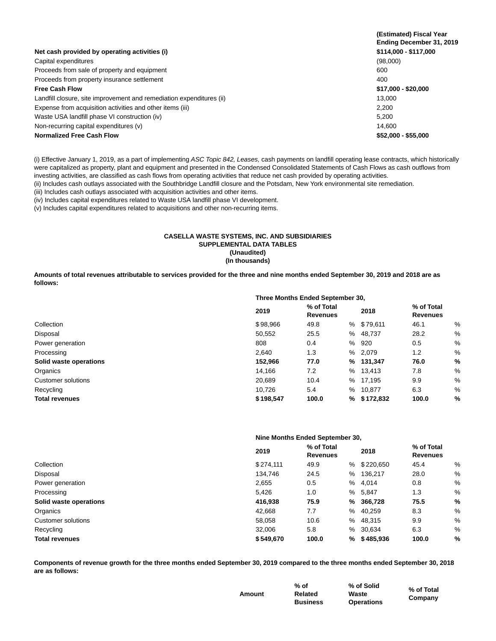|                                                                      | (Estimated) Fiscal Year<br>Ending December 31, 2019 |
|----------------------------------------------------------------------|-----------------------------------------------------|
| Net cash provided by operating activities (i)                        | \$114,000 - \$117,000                               |
| Capital expenditures                                                 | (98,000)                                            |
| Proceeds from sale of property and equipment                         | 600                                                 |
| Proceeds from property insurance settlement                          | 400                                                 |
| <b>Free Cash Flow</b>                                                | $$17,000 - $20,000$                                 |
| Landfill closure, site improvement and remediation expenditures (ii) | 13.000                                              |
| Expense from acquisition activities and other items (iii)            | 2.200                                               |
| Waste USA landfill phase VI construction (iv)                        | 5.200                                               |
| Non-recurring capital expenditures (v)                               | 14.600                                              |
| <b>Normalized Free Cash Flow</b>                                     | $$52,000 - $55,000$                                 |

(i) Effective January 1, 2019, as a part of implementing ASC Topic 842, Leases, cash payments on landfill operating lease contracts, which historically were capitalized as property, plant and equipment and presented in the Condensed Consolidated Statements of Cash Flows as cash outflows from investing activities, are classified as cash flows from operating activities that reduce net cash provided by operating activities.

(ii) Includes cash outlays associated with the Southbridge Landfill closure and the Potsdam, New York environmental site remediation.

(iii) Includes cash outlays associated with acquisition activities and other items.

(iv) Includes capital expenditures related to Waste USA landfill phase VI development.

(v) Includes capital expenditures related to acquisitions and other non-recurring items.

# **CASELLA WASTE SYSTEMS, INC. AND SUBSIDIARIES SUPPLEMENTAL DATA TABLES (Unaudited) (In thousands)**

**Amounts of total revenues attributable to services provided for the three and nine months ended September 30, 2019 and 2018 are as follows:**

|                        | Three Months Ended September 30, |                               |   |             |                               |   |  |
|------------------------|----------------------------------|-------------------------------|---|-------------|-------------------------------|---|--|
| Collection             | 2019                             | % of Total<br><b>Revenues</b> |   | 2018        | % of Total<br><b>Revenues</b> |   |  |
|                        | \$98,966                         | 49.8                          |   | % \$79,611  | 46.1                          | % |  |
| Disposal               | 50.552                           | 25.5                          | % | 48,737      | 28.2                          | % |  |
| Power generation       | 808                              | 0.4                           |   | % 920       | 0.5                           | % |  |
| Processing             | 2.640                            | 1.3                           |   | % 2,079     | 1.2                           | % |  |
| Solid waste operations | 152,966                          | 77.0                          |   | % 131,347   | 76.0                          | % |  |
| Organics               | 14,166                           | 7.2                           |   | % 13,413    | 7.8                           | % |  |
| Customer solutions     | 20,689                           | 10.4                          |   | % 17,195    | 9.9                           | % |  |
| Recycling              | 10,726                           | 5.4                           | % | 10.877      | 6.3                           | % |  |
| <b>Total revenues</b>  | \$198,547                        | 100.0                         |   | % \$172,832 | 100.0                         | % |  |

|                        | Nine Months Ended September 30, |                               |   |             |                               |   |  |  |
|------------------------|---------------------------------|-------------------------------|---|-------------|-------------------------------|---|--|--|
| Collection             | 2019                            | % of Total<br><b>Revenues</b> |   | 2018        | % of Total<br><b>Revenues</b> |   |  |  |
|                        | \$274,111                       | 49.9                          |   | % \$220,650 | 45.4                          | % |  |  |
| Disposal               | 134.746                         | 24.5                          | % | 136,217     | 28.0                          | % |  |  |
| Power generation       | 2,655                           | 0.5                           |   | % 4,014     | 0.8                           | % |  |  |
| Processing             | 5.426                           | 1.0                           |   | % 5,847     | 1.3                           | % |  |  |
| Solid waste operations | 416,938                         | 75.9                          |   | % 366,728   | 75.5                          | % |  |  |
| Organics               | 42,668                          | 7.7                           | % | 40,259      | 8.3                           | % |  |  |
| Customer solutions     | 58.058                          | 10.6                          |   | % 48,315    | 9.9                           | % |  |  |
| Recycling              | 32.006                          | 5.8                           |   | % 30.634    | 6.3                           | % |  |  |
| <b>Total revenues</b>  | \$549,670                       | 100.0                         | % | \$485,936   | 100.0                         | % |  |  |

**Components of revenue growth for the three months ended September 30, 2019 compared to the three months ended September 30, 2018 are as follows:**